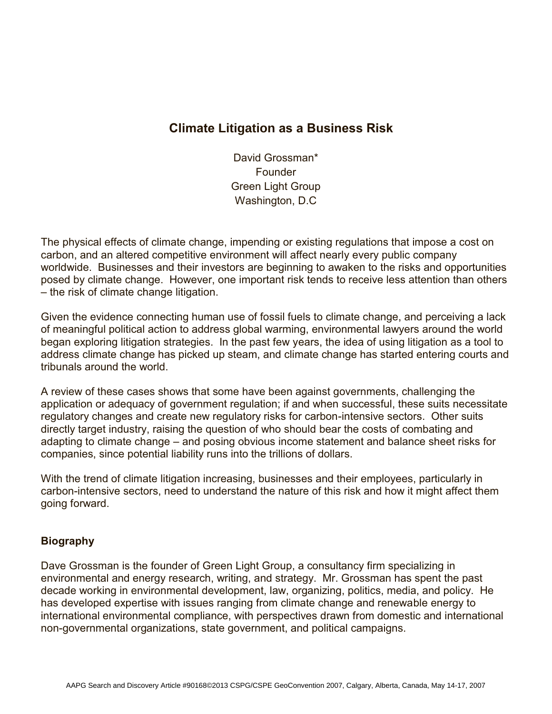## **Climate Litigation as a Business Risk**

David Grossman\* Founder Green Light Group Washington, D.C

The physical effects of climate change, impending or existing regulations that impose a cost on carbon, and an altered competitive environment will affect nearly every public company worldwide. Businesses and their investors are beginning to awaken to the risks and opportunities posed by climate change. However, one important risk tends to receive less attention than others – the risk of climate change litigation.

Given the evidence connecting human use of fossil fuels to climate change, and perceiving a lack of meaningful political action to address global warming, environmental lawyers around the world began exploring litigation strategies. In the past few years, the idea of using litigation as a tool to address climate change has picked up steam, and climate change has started entering courts and tribunals around the world.

A review of these cases shows that some have been against governments, challenging the application or adequacy of government regulation; if and when successful, these suits necessitate regulatory changes and create new regulatory risks for carbon-intensive sectors. Other suits directly target industry, raising the question of who should bear the costs of combating and adapting to climate change – and posing obvious income statement and balance sheet risks for companies, since potential liability runs into the trillions of dollars.

With the trend of climate litigation increasing, businesses and their employees, particularly in carbon-intensive sectors, need to understand the nature of this risk and how it might affect them going forward.

## **Biography**

Dave Grossman is the founder of Green Light Group, a consultancy firm specializing in environmental and energy research, writing, and strategy. Mr. Grossman has spent the past decade working in environmental development, law, organizing, politics, media, and policy. He has developed expertise with issues ranging from climate change and renewable energy to international environmental compliance, with perspectives drawn from domestic and international non-governmental organizations, state government, and political campaigns.